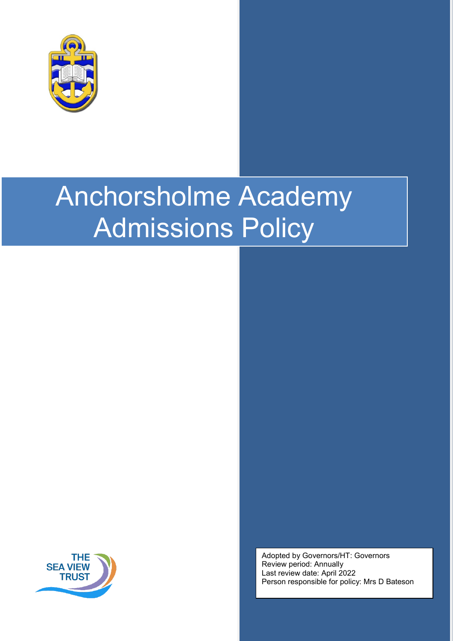



Adopted by Governors/HT: Governors Review period: Annually Last review date: April 2022 Person responsible for policy: Mrs D Bateson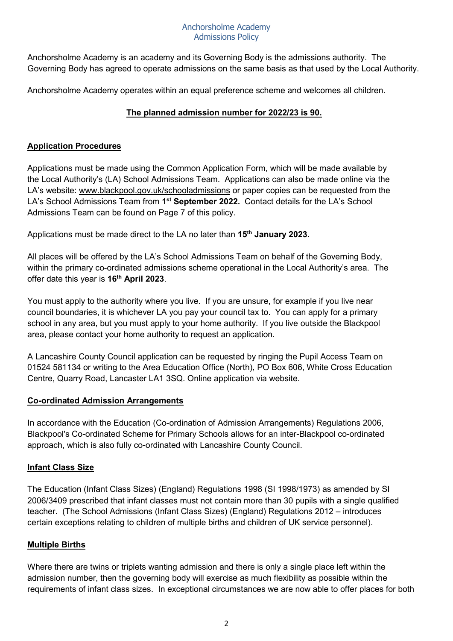Anchorsholme Academy is an academy and its Governing Body is the admissions authority. The Governing Body has agreed to operate admissions on the same basis as that used by the Local Authority.

Anchorsholme Academy operates within an equal preference scheme and welcomes all children.

# **The planned admission number for 2022/23 is 90.**

# **Application Procedures**

Applications must be made using the Common Application Form, which will be made available by the Local Authority's (LA) School Admissions Team. Applications can also be made online via the LA's website: [www.blackpool.gov.uk/schooladmissions](http://www.blackpool.gov.uk/schooladmissions) or paper copies can be requested from the LA's School Admissions Team [from](http://www.blackpool.gov.uk/schooladmissions) **1st [September](http://www.blackpool.gov.uk/schooladmissions) 2022.** Contact details for the LA's School Admissions Team can be found on Page 7 of this policy.

Applications must be made direct to the LA no later than **15th January 2023.** 

All places will be offered by the LA's School Admissions Team on behalf of the Governing Body, within the primary co-ordinated admissions scheme operational in the Local Authority's area. The offer date this year is **16th April 2023**.

You must apply to the authority where you live. If you are unsure, for example if you live near council boundaries, it is whichever LA you pay your council tax to. You can apply for a primary school in any area, but you must apply to your home authority. If you live outside the Blackpool area, please contact your home authority to request an application.

A Lancashire County Council application can be requested by ringing the Pupil Access Team on 01524 581134 or writing to the Area Education Office (North), PO Box 606, White Cross Education Centre, Quarry Road, Lancaster LA1 3SQ. Online application via website.

# **Co-ordinated Admission Arrangements**

In accordance with the Education (Co-ordination of Admission Arrangements) Regulations 2006, Blackpool's Co-ordinated Scheme for Primary Schools allows for an inter-Blackpool co-ordinated approach, which is also fully co-ordinated with Lancashire County Council.

# **Infant Class Size**

The Education (Infant Class Sizes) (England) Regulations 1998 (SI 1998/1973) as amended by SI 2006/3409 prescribed that infant classes must not contain more than 30 pupils with a single qualified teacher. (The School Admissions (Infant Class Sizes) (England) Regulations 2012 – introduces certain exceptions relating to children of multiple births and children of UK service personnel).

# **Multiple Births**

Where there are twins or triplets wanting admission and there is only a single place left within the admission number, then the governing body will exercise as much flexibility as possible within the requirements of infant class sizes. In exceptional circumstances we are now able to offer places for both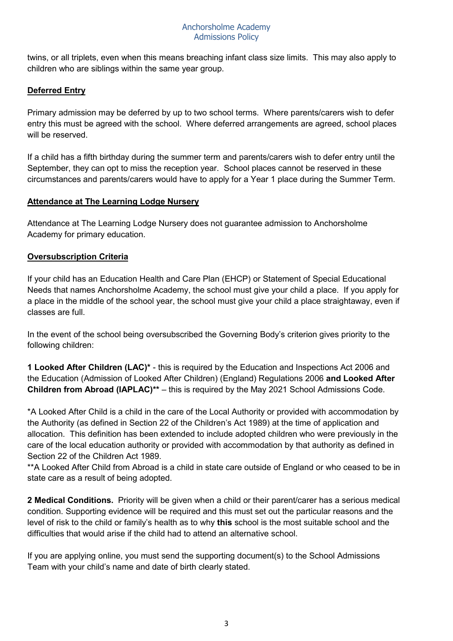twins, or all triplets, even when this means breaching infant class size limits. This may also apply to children who are siblings within the same year group.

# **Deferred Entry**

Primary admission may be deferred by up to two school terms. Where parents/carers wish to defer entry this must be agreed with the school.Where deferred arrangements are agreed, school places will be reserved.

If a child has a fifth birthday during the summer term and parents/carers wish to defer entry until the September, they can opt to miss the reception year. School places cannot be reserved in these circumstances and parents/carers would have to apply for a Year 1 place during the Summer Term.

#### **Attendance at The Learning Lodge Nursery**

Attendance at The Learning Lodge Nursery does not guarantee admission to Anchorsholme Academy for primary education.

# **Oversubscription Criteria**

If your child has an Education Health and Care Plan (EHCP) or Statement of Special Educational Needs that names Anchorsholme Academy, the school must give your child a place. If you apply for a place in the middle of the school year, the school must give your child a place straightaway, even if classes are full.

In the event of the school being oversubscribed the Governing Body's criterion gives priority to the following children:

**1 Looked After Children (LAC)\*** - this is required by the Education and Inspections Act 2006 and the Education (Admission of Looked After Children) (England) Regulations 2006 **and Looked After Children from Abroad (IAPLAC)\*\*** – this is required by the May 2021 School Admissions Code.

\*A Looked After Child is a child in the care of the Local Authority or provided with accommodation by the Authority (as defined in Section 22 of the Children's Act 1989) at the time of application and allocation. This definition has been extended to include adopted children who were previously in the care of the local education authority or provided with accommodation by that authority as defined in Section 22 of the Children Act 1989.

\*\*A Looked After Child from Abroad is a child in state care outside of England or who ceased to be in state care as a result of being adopted.

**2 Medical Conditions.** Priority will be given when a child or their parent/carer has a serious medical condition. Supporting evidence will be required and this must set out the particular reasons and the level of risk to the child or family's health as to why **this** school is the most suitable school and the difficulties that would arise if the child had to attend an alternative school.

If you are applying online, you must send the supporting document(s) to the School Admissions Team with your child's name and date of birth clearly stated.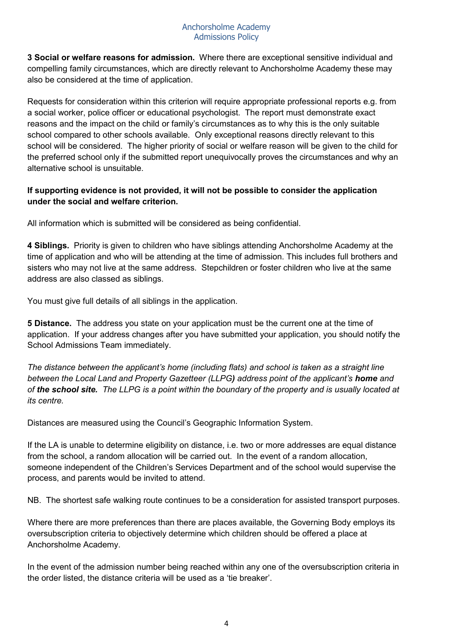**3 Social or welfare reasons for admission.** Where there are exceptional sensitive individual and compelling family circumstances, which are directly relevant to Anchorsholme Academy these may also be considered at the time of application.

Requests for consideration within this criterion will require appropriate professional reports e.g. from a social worker, police officer or educational psychologist. The report must demonstrate exact reasons and the impact on the child or family's circumstances as to why this is the only suitable school compared to other schools available. Only exceptional reasons directly relevant to this school will be considered. The higher priority of social or welfare reason will be given to the child for the preferred school only if the submitted report unequivocally proves the circumstances and why an alternative school is unsuitable.

# **If supporting evidence is not provided, it will not be possible to consider the application under the social and welfare criterion.**

All information which is submitted will be considered as being confidential.

**4 Siblings.** Priority is given to children who have siblings attending Anchorsholme Academy at the time of application and who will be attending at the time of admission. This includes full brothers and sisters who may not live at the same address. Stepchildren or foster children who live at the same address are also classed as siblings.

You must give full details of all siblings in the application.

**5 Distance.** The address you state on your application must be the current one at the time of application. If your address changes after you have submitted your application, you should notify the School Admissions Team immediately.

*The distance between the applicant's home (including flats) and school is taken as a straight line between the Local Land and Property Gazetteer (LLPG) address point of the applicant's home and of the school site. The LLPG is a point within the boundary of the property and is usually located at its centre.*

Distances are measured using the Council's Geographic Information System.

If the LA is unable to determine eligibility on distance, i.e. two or more addresses are equal distance from the school, a random allocation will be carried out. In the event of a random allocation, someone independent of the Children's Services Department and of the school would supervise the process, and parents would be invited to attend.

NB. The shortest safe walking route continues to be a consideration for assisted transport purposes.

Where there are more preferences than there are places available, the Governing Body employs its oversubscription criteria to objectively determine which children should be offered a place at Anchorsholme Academy.

In the event of the admission number being reached within any one of the oversubscription criteria in the order listed, the distance criteria will be used as a 'tie breaker'.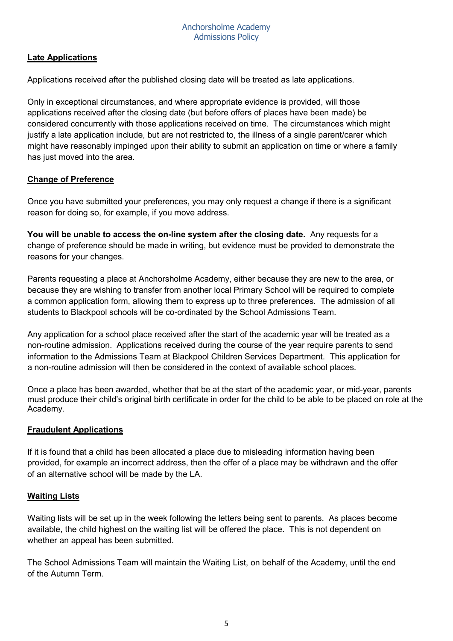# **Late Applications**

Applications received after the published closing date will be treated as late applications.

Only in exceptional circumstances, and where appropriate evidence is provided, will those applications received after the closing date (but before offers of places have been made) be considered concurrently with those applications received on time. The circumstances which might justify a late application include, but are not restricted to, the illness of a single parent/carer which might have reasonably impinged upon their ability to submit an application on time or where a family has just moved into the area.

# **Change of Preference**

Once you have submitted your preferences, you may only request a change if there is a significant reason for doing so, for example, if you move address.

**You will be unable to access the on-line system after the closing date.** Any requests for a change of preference should be made in writing, but evidence must be provided to demonstrate the reasons for your changes.

Parents requesting a place at Anchorsholme Academy, either because they are new to the area, or because they are wishing to transfer from another local Primary School will be required to complete a common application form, allowing them to express up to three preferences. The admission of all students to Blackpool schools will be co-ordinated by the School Admissions Team.

Any application for a school place received after the start of the academic year will be treated as a non-routine admission. Applications received during the course of the year require parents to send information to the Admissions Team at Blackpool Children Services Department. This application for a non-routine admission will then be considered in the context of available school places.

Once a place has been awarded, whether that be at the start of the academic year, or mid-year, parents must produce their child's original birth certificate in order for the child to be able to be placed on role at the Academy.

# **Fraudulent Applications**

If it is found that a child has been allocated a place due to misleading information having been provided, for example an incorrect address, then the offer of a place may be withdrawn and the offer of an alternative school will be made by the LA.

# **Waiting Lists**

Waiting lists will be set up in the week following the letters being sent to parents. As places become available, the child highest on the waiting list will be offered the place. This is not dependent on whether an appeal has been submitted.

The School Admissions Team will maintain the Waiting List, on behalf of the Academy, until the end of the Autumn Term.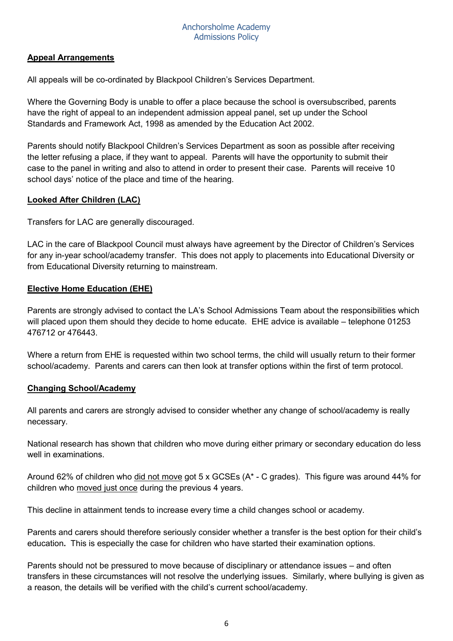#### **Appeal Arrangements**

All appeals will be co-ordinated by Blackpool Children's Services Department.

Where the Governing Body is unable to offer a place because the school is oversubscribed, parents have the right of appeal to an independent admission appeal panel, set up under the School Standards and Framework Act, 1998 as amended by the Education Act 2002.

Parents should notify Blackpool Children's Services Department as soon as possible after receiving the letter refusing a place, if they want to appeal. Parents will have the opportunity to submit their case to the panel in writing and also to attend in order to present their case. Parents will receive 10 school days' notice of the place and time of the hearing.

# **Looked After Children (LAC)**

Transfers for LAC are generally discouraged.

LAC in the care of Blackpool Council must always have agreement by the Director of Children's Services for any in-year school/academy transfer. This does not apply to placements into Educational Diversity or from Educational Diversity returning to mainstream.

#### **Elective Home Education (EHE)**

Parents are strongly advised to contact the LA's School Admissions Team about the responsibilities which will placed upon them should they decide to home educate. EHE advice is available – telephone 01253 476712 or 476443.

Where a return from EHE is requested within two school terms, the child will usually return to their former school/academy. Parents and carers can then look at transfer options within the first of term protocol.

#### **Changing School/Academy**

All parents and carers are strongly advised to consider whether any change of school/academy is really necessary.

National research has shown that children who move during either primary or secondary education do less well in examinations.

Around 62% of children who did not move got 5 x GCSEs (A\* - C grades). This figure was around 44% for children who moved just once during the previous 4 years.

This decline in attainment tends to increase every time a child changes school or academy.

Parents and carers should therefore seriously consider whether a transfer is the best option for their child's education**.** This is especially the case for children who have started their examination options.

Parents should not be pressured to move because of disciplinary or attendance issues – and often transfers in these circumstances will not resolve the underlying issues. Similarly, where bullying is given as a reason, the details will be verified with the child's current school/academy.